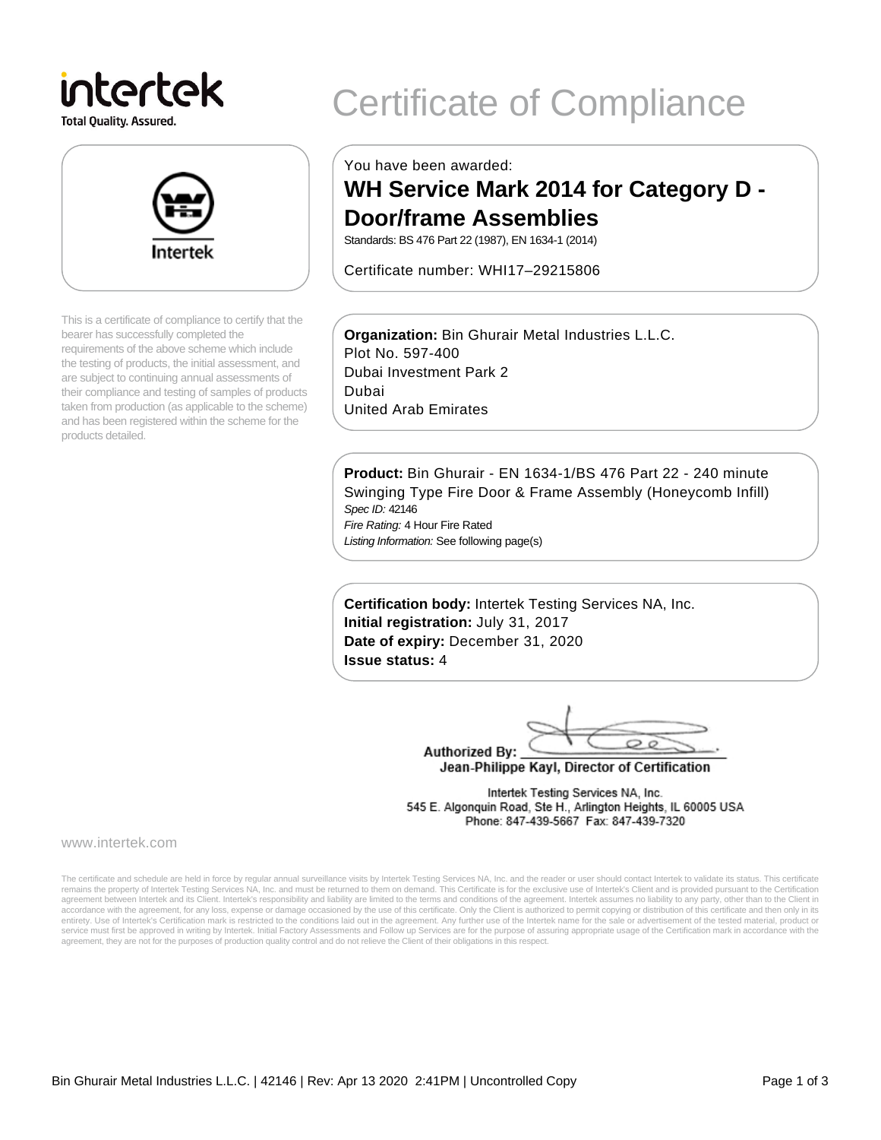# intertek

**Total Quality. Assured.** 



This is a certificate of compliance to certify that the bearer has successfully completed the requirements of the above scheme which include the testing of products, the initial assessment, and are subject to continuing annual assessments of their compliance and testing of samples of products taken from production (as applicable to the scheme) and has been registered within the scheme for the products detailed.

## Certificate of Compliance

You have been awarded:

### **WH Service Mark 2014 for Category D - Door/frame Assemblies**

Standards: BS 476 Part 22 (1987), EN 1634-1 (2014)

Certificate number: WHI17–29215806

**Organization:** Bin Ghurair Metal Industries L.L.C. Plot No. 597-400 Dubai Investment Park 2 Dubai United Arab Emirates

**Product:** Bin Ghurair - EN 1634-1/BS 476 Part 22 - 240 minute Swinging Type Fire Door & Frame Assembly (Honeycomb Infill) Spec ID: 42146

Fire Rating: 4 Hour Fire Rated Listing Information: See following page(s)

**Certification body:** Intertek Testing Services NA, Inc. **Initial registration:** July 31, 2017 **Date of expiry:** December 31, 2020 **Issue status:** 4

 $\circ$ **Authorized By:** 

Jean-Philippe Kayl, Director of Certification

Intertek Testing Services NA, Inc. 545 E. Algonquin Road, Ste H., Arlington Heights, IL 60005 USA Phone: 847-439-5667 Fax: 847-439-7320

www.intertek.com

The certificate and schedule are held in force by regular annual surveillance visits by Intertek Testing Services NA, Inc. and the reader or user should contact Intertek to validate its status. This certificate remains the property of Intertek Testing Services NA, Inc. and must be returned to them on demand. This Certificate is for the exclusive use of Intertek's Client and is provided pursuant to the Certification agreement between Intertek and its Client. Intertek's responsibility and liability are limited to the terms and conditions of the agreement. Intertek assumes no liability to any party, other than to the Client in accordance with the agreement, for any loss, expense or damage occasioned by the use of this certificate. Only the Client is authorized to permit copying or distribution of this certificate and then only in its<br>entirety. U service must first be approved in writing by Intertek. Initial Factory Assessments and Follow up Services are for the purpose of assuring appropriate usage of the Certification mark in accordance with the agreement, they are not for the purposes of production quality control and do not relieve the Client of their obligations in this respect.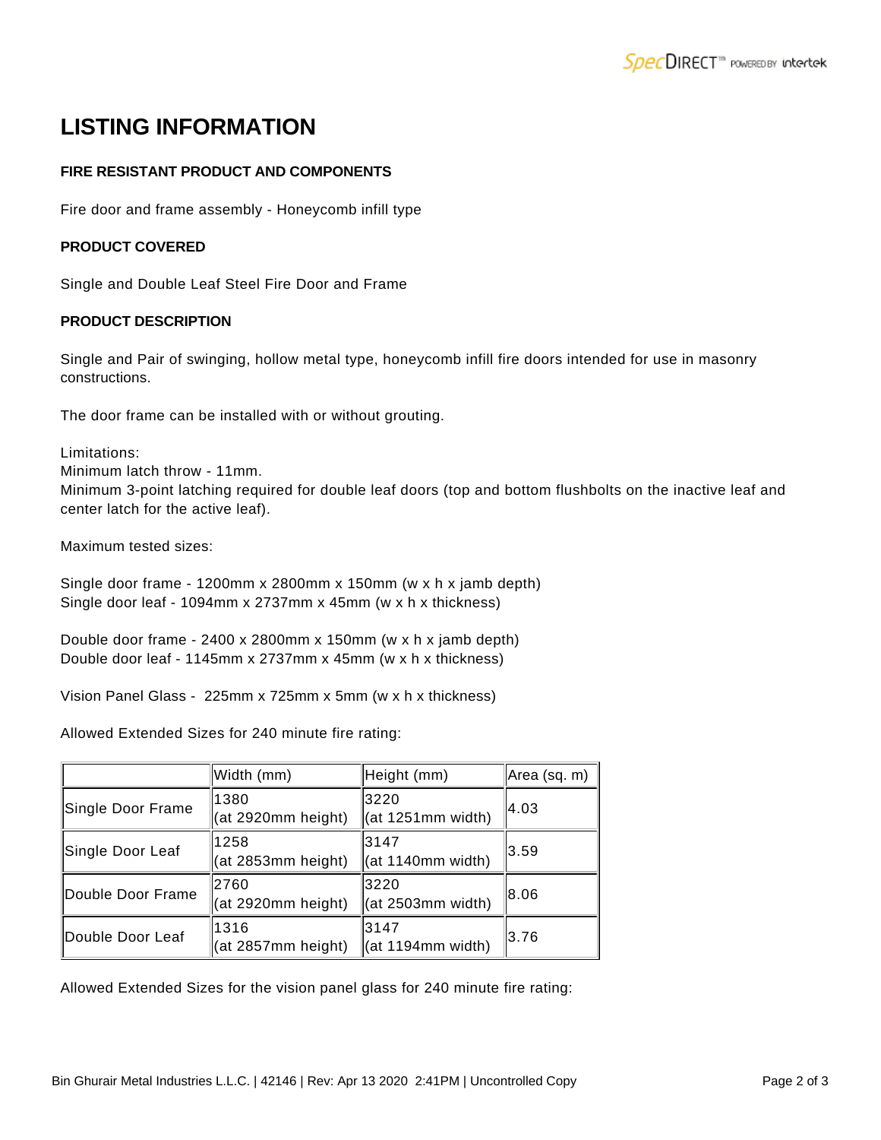## **LISTING INFORMATION**

#### **FIRE RESISTANT PRODUCT AND COMPONENTS**

Fire door and frame assembly - Honeycomb infill type

#### **PRODUCT COVERED**

Single and Double Leaf Steel Fire Door and Frame

#### **PRODUCT DESCRIPTION**

Single and Pair of swinging, hollow metal type, honeycomb infill fire doors intended for use in masonry constructions.

The door frame can be installed with or without grouting.

Limitations:

Minimum latch throw - 11mm.

Minimum 3-point latching required for double leaf doors (top and bottom flushbolts on the inactive leaf and center latch for the active leaf).

Maximum tested sizes:

```
Single door frame - 1200mm x 2800mm x 150mm (w x h x jamb depth)
Single door leaf - 1094mm x 2737mm x 45mm (w x h x thickness)
```
Double door frame - 2400 x 2800mm x 150mm (w x h x jamb depth) Double door leaf - 1145mm x 2737mm x 45mm (w x h x thickness)

Vision Panel Glass - 225mm x 725mm x 5mm (w x h x thickness)

Allowed Extended Sizes for 240 minute fire rating:

|                   | Width (mm)                 | Height (mm)               | Area (sq. m) |
|-------------------|----------------------------|---------------------------|--------------|
| Single Door Frame | 1380<br>(at 2920mm height) | 3220<br>(at 1251mm width) | 14.03        |
| Single Door Leaf  | 1258<br>(at 2853mm height) | 3147<br>(at 1140mm width) | 3.59         |
| Double Door Frame | 2760<br>(at 2920mm height) | 3220<br>(at 2503mm width) | 18.06        |
| Double Door Leaf  | 1316<br>(at 2857mm height) | 3147<br>(at 1194mm width) | 3.76         |

Allowed Extended Sizes for the vision panel glass for 240 minute fire rating: